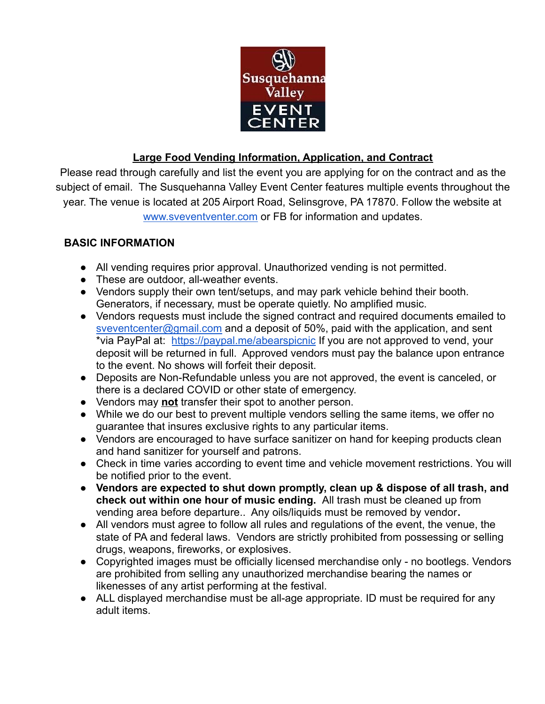

## **Large Food Vending Information, Application, and Contract**

Please read through carefully and list the event you are applying for on the contract and as the subject of email. The Susquehanna Valley Event Center features multiple events throughout the year. The venue is located at 205 Airport Road, Selinsgrove, PA 17870. Follow the website at [www.sveventventer.com](http://www.sveventventer.com) or FB for information and updates.

## **BASIC INFORMATION**

- All vending requires prior approval. Unauthorized vending is not permitted.
- These are outdoor, all-weather events.
- Vendors supply their own tent/setups, and may park vehicle behind their booth. Generators, if necessary, must be operate quietly. No amplified music.
- Vendors requests must include the signed contract and required documents emailed to [sveventcenter@gmail.com](mailto:sveventcenter@gmail.com) and a deposit of 50%, paid with the application, and sent \*via PayPal at: <https://paypal.me/abearspicnic> If you are not approved to vend, your deposit will be returned in full. Approved vendors must pay the balance upon entrance to the event. No shows will forfeit their deposit.
- Deposits are Non-Refundable unless you are not approved, the event is canceled, or there is a declared COVID or other state of emergency.
- Vendors may **not** transfer their spot to another person.
- While we do our best to prevent multiple vendors selling the same items, we offer no guarantee that insures exclusive rights to any particular items.
- Vendors are encouraged to have surface sanitizer on hand for keeping products clean and hand sanitizer for yourself and patrons.
- Check in time varies according to event time and vehicle movement restrictions. You will be notified prior to the event.
- **Vendors are expected to shut down promptly, clean up & dispose of all trash, and check out within one hour of music ending.** All trash must be cleaned up from vending area before departure.. Any oils/liquids must be removed by vendor**.**
- All vendors must agree to follow all rules and regulations of the event, the venue, the state of PA and federal laws. Vendors are strictly prohibited from possessing or selling drugs, weapons, fireworks, or explosives.
- Copyrighted images must be officially licensed merchandise only no bootlegs. Vendors are prohibited from selling any unauthorized merchandise bearing the names or likenesses of any artist performing at the festival.
- ALL displayed merchandise must be all-age appropriate. ID must be required for any adult items.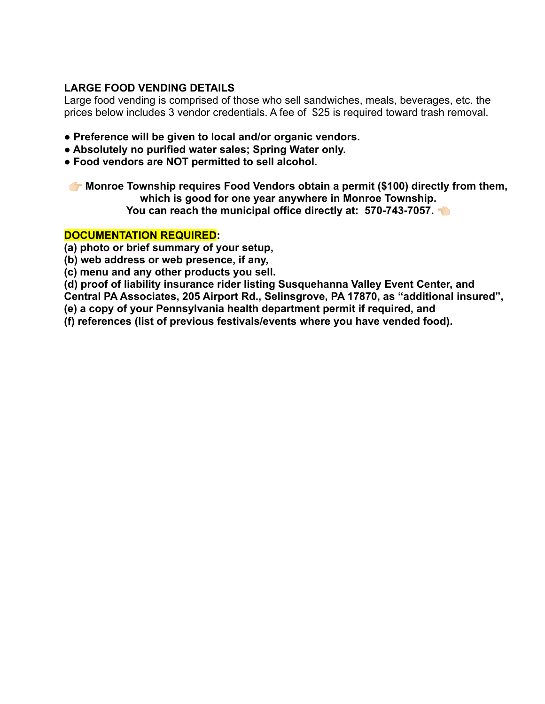## **LARGE FOOD VENDING DETAILS**

Large food vending is comprised of those who sell sandwiches, meals, beverages, etc. the prices below includes 3 vendor credentials. A fee of \$25 is required toward trash removal.

- **Preference will be given to local and/or organic vendors.**
- **Absolutely no purified water sales; Spring Water only.**
- **Food vendors are NOT permitted to sell alcohol.**

**The Monroe Township requires Food Vendors obtain a permit (\$100) directly from them, which is good for one year anywhere in Monroe Township. You can reach the municipal office directly at: 570-743-7057.** 

## **DOCUMENTATION REQUIRED:**

**(a) photo or brief summary of your setup,**

**(b) web address or web presence, if any,**

**(c) menu and any other products you sell.**

**(d) proof of liability insurance rider listing Susquehanna Valley Event Center, and**

**Central PA Associates, 205 Airport Rd., Selinsgrove, PA 17870, as "additional insured",**

**(e) a copy of your Pennsylvania health department permit if required, and**

**(f) references (list of previous festivals/events where you have vended food).**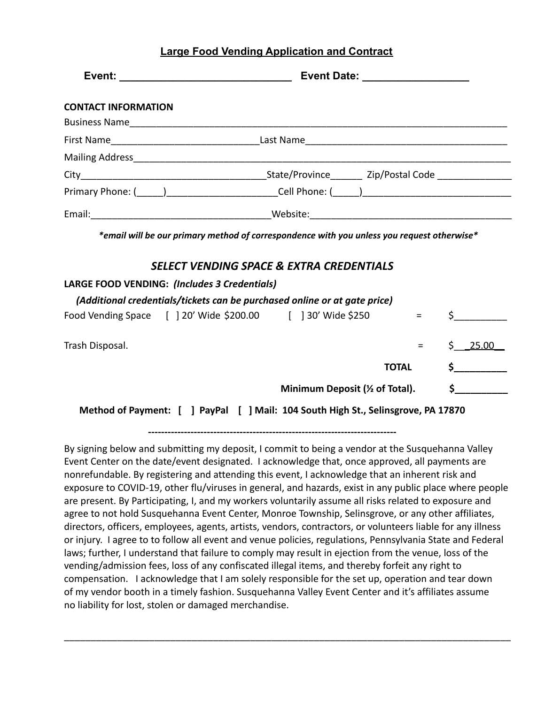|  |  |  |  | <b>Large Food Vending Application and Contract</b> |
|--|--|--|--|----------------------------------------------------|
|  |  |  |  |                                                    |

| <b>CONTACT INFORMATION</b>                   |                                                                                                                                        |               |
|----------------------------------------------|----------------------------------------------------------------------------------------------------------------------------------------|---------------|
|                                              |                                                                                                                                        |               |
|                                              |                                                                                                                                        |               |
|                                              |                                                                                                                                        |               |
|                                              |                                                                                                                                        |               |
|                                              |                                                                                                                                        |               |
|                                              |                                                                                                                                        |               |
|                                              | *email will be our primary method of correspondence with you unless you request otherwise*<br>SELECT VENDING SPACE & EXTRA CREDENTIALS |               |
| LARGE FOOD VENDING: (Includes 3 Credentials) |                                                                                                                                        |               |
|                                              | (Additional credentials/tickets can be purchased online or at gate price)                                                              |               |
|                                              | Food Vending Space [ ] 20' Wide \$200.00 [ ] 30' Wide \$250 =                                                                          | $\sharp$      |
| Trash Disposal.                              | $\equiv$ 1000 $\pm$                                                                                                                    | \$25.00       |
|                                              | <b>TOTAL</b>                                                                                                                           | $\sim$        |
|                                              | Minimum Deposit (1/2 of Total).                                                                                                        | $\mathsf{\$}$ |
|                                              | Method of Payment: [ ] PayPal [ ] Mail: 104 South High St., Selinsgrove, PA 17870                                                      |               |

**----------------------------------------------------------------------------**

By signing below and submitting my deposit, I commit to being a vendor at the Susquehanna Valley Event Center on the date/event designated. I acknowledge that, once approved, all payments are nonrefundable. By registering and attending this event, I acknowledge that an inherent risk and exposure to COVID-19, other flu/viruses in general, and hazards, exist in any public place where people are present. By Participating, I, and my workers voluntarily assume all risks related to exposure and agree to not hold Susquehanna Event Center, Monroe Township, Selinsgrove, or any other affiliates, directors, officers, employees, agents, artists, vendors, contractors, or volunteers liable for any illness or injury. I agree to to follow all event and venue policies, regulations, Pennsylvania State and Federal laws; further, I understand that failure to comply may result in ejection from the venue, loss of the vending/admission fees, loss of any confiscated illegal items, and thereby forfeit any right to compensation. I acknowledge that I am solely responsible for the set up, operation and tear down of my vendor booth in a timely fashion. Susquehanna Valley Event Center and it's affiliates assume no liability for lost, stolen or damaged merchandise.

\_\_\_\_\_\_\_\_\_\_\_\_\_\_\_\_\_\_\_\_\_\_\_\_\_\_\_\_\_\_\_\_\_\_\_\_\_\_\_\_\_\_\_\_\_\_\_\_\_\_\_\_\_\_\_\_\_\_\_\_\_\_\_\_\_\_\_\_\_\_\_\_\_\_\_\_\_\_\_\_\_\_\_\_